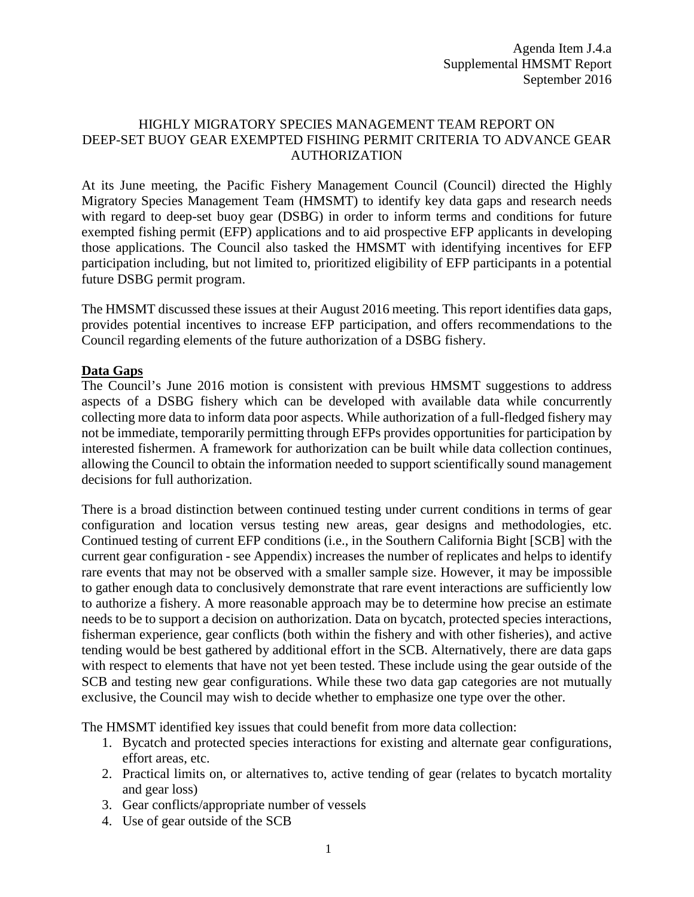#### HIGHLY MIGRATORY SPECIES MANAGEMENT TEAM REPORT ON DEEP-SET BUOY GEAR EXEMPTED FISHING PERMIT CRITERIA TO ADVANCE GEAR AUTHORIZATION

At its June meeting, the Pacific Fishery Management Council (Council) directed the Highly Migratory Species Management Team (HMSMT) to identify key data gaps and research needs with regard to deep-set buoy gear (DSBG) in order to inform terms and conditions for future exempted fishing permit (EFP) applications and to aid prospective EFP applicants in developing those applications. The Council also tasked the HMSMT with identifying incentives for EFP participation including, but not limited to, prioritized eligibility of EFP participants in a potential future DSBG permit program.

The HMSMT discussed these issues at their August 2016 meeting. This report identifies data gaps, provides potential incentives to increase EFP participation, and offers recommendations to the Council regarding elements of the future authorization of a DSBG fishery.

# **Data Gaps**

The Council's June 2016 motion is consistent with previous HMSMT suggestions to address aspects of a DSBG fishery which can be developed with available data while concurrently collecting more data to inform data poor aspects. While authorization of a full-fledged fishery may not be immediate, temporarily permitting through EFPs provides opportunities for participation by interested fishermen. A framework for authorization can be built while data collection continues, allowing the Council to obtain the information needed to support scientifically sound management decisions for full authorization.

There is a broad distinction between continued testing under current conditions in terms of gear configuration and location versus testing new areas, gear designs and methodologies, etc. Continued testing of current EFP conditions (i.e., in the Southern California Bight [SCB] with the current gear configuration - see Appendix) increases the number of replicates and helps to identify rare events that may not be observed with a smaller sample size. However, it may be impossible to gather enough data to conclusively demonstrate that rare event interactions are sufficiently low to authorize a fishery. A more reasonable approach may be to determine how precise an estimate needs to be to support a decision on authorization. Data on bycatch, protected species interactions, fisherman experience, gear conflicts (both within the fishery and with other fisheries), and active tending would be best gathered by additional effort in the SCB. Alternatively, there are data gaps with respect to elements that have not yet been tested. These include using the gear outside of the SCB and testing new gear configurations. While these two data gap categories are not mutually exclusive, the Council may wish to decide whether to emphasize one type over the other.

The HMSMT identified key issues that could benefit from more data collection:

- 1. Bycatch and protected species interactions for existing and alternate gear configurations, effort areas, etc.
- 2. Practical limits on, or alternatives to, active tending of gear (relates to bycatch mortality and gear loss)
- 3. Gear conflicts/appropriate number of vessels
- 4. Use of gear outside of the SCB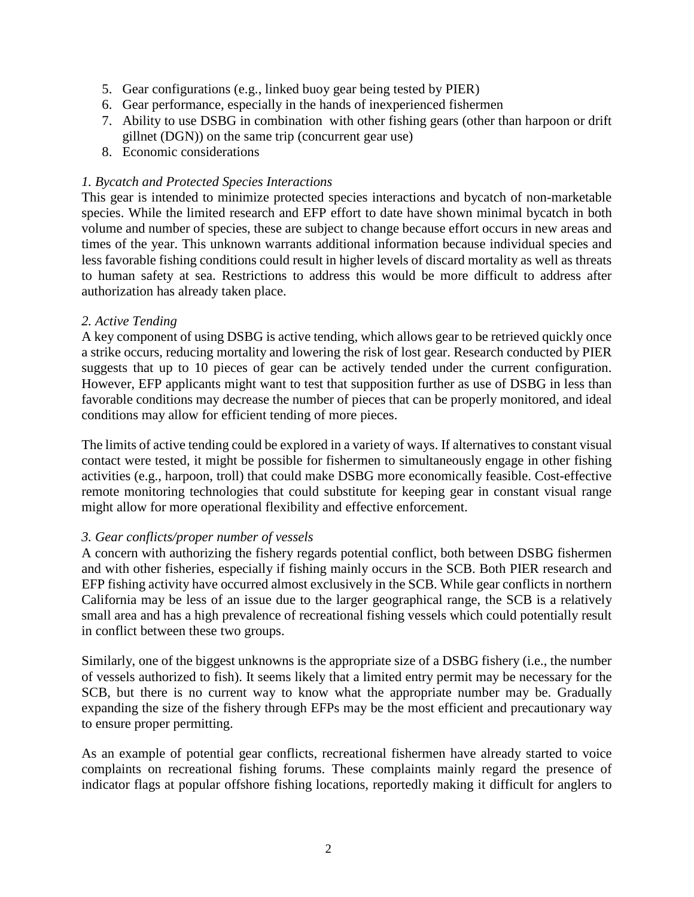- 5. Gear configurations (e.g., linked buoy gear being tested by PIER)
- 6. Gear performance, especially in the hands of inexperienced fishermen
- 7. Ability to use DSBG in combination with other fishing gears (other than harpoon or drift gillnet (DGN)) on the same trip (concurrent gear use)
- 8. Economic considerations

#### *1. Bycatch and Protected Species Interactions*

This gear is intended to minimize protected species interactions and bycatch of non-marketable species. While the limited research and EFP effort to date have shown minimal bycatch in both volume and number of species, these are subject to change because effort occurs in new areas and times of the year. This unknown warrants additional information because individual species and less favorable fishing conditions could result in higher levels of discard mortality as well as threats to human safety at sea. Restrictions to address this would be more difficult to address after authorization has already taken place.

#### *2. Active Tending*

A key component of using DSBG is active tending, which allows gear to be retrieved quickly once a strike occurs, reducing mortality and lowering the risk of lost gear. Research conducted by PIER suggests that up to 10 pieces of gear can be actively tended under the current configuration. However, EFP applicants might want to test that supposition further as use of DSBG in less than favorable conditions may decrease the number of pieces that can be properly monitored, and ideal conditions may allow for efficient tending of more pieces.

The limits of active tending could be explored in a variety of ways. If alternatives to constant visual contact were tested, it might be possible for fishermen to simultaneously engage in other fishing activities (e.g., harpoon, troll) that could make DSBG more economically feasible. Cost-effective remote monitoring technologies that could substitute for keeping gear in constant visual range might allow for more operational flexibility and effective enforcement.

#### *3. Gear conflicts/proper number of vessels*

A concern with authorizing the fishery regards potential conflict, both between DSBG fishermen and with other fisheries, especially if fishing mainly occurs in the SCB. Both PIER research and EFP fishing activity have occurred almost exclusively in the SCB. While gear conflicts in northern California may be less of an issue due to the larger geographical range, the SCB is a relatively small area and has a high prevalence of recreational fishing vessels which could potentially result in conflict between these two groups.

Similarly, one of the biggest unknowns is the appropriate size of a DSBG fishery (i.e., the number of vessels authorized to fish). It seems likely that a limited entry permit may be necessary for the SCB, but there is no current way to know what the appropriate number may be. Gradually expanding the size of the fishery through EFPs may be the most efficient and precautionary way to ensure proper permitting.

As an example of potential gear conflicts, recreational fishermen have already started to voice complaints on recreational fishing forums. These complaints mainly regard the presence of indicator flags at popular offshore fishing locations, reportedly making it difficult for anglers to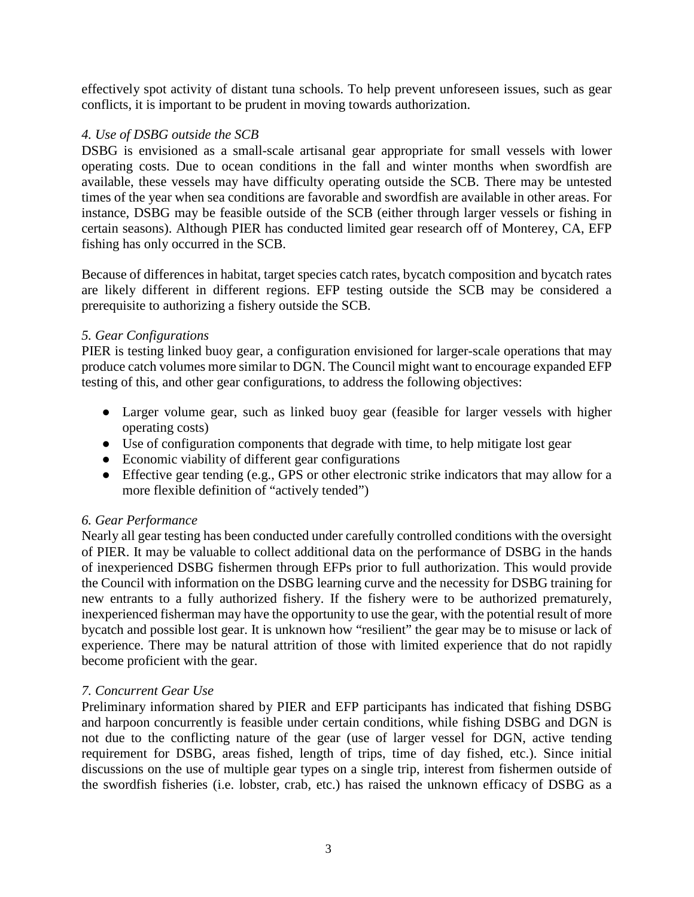effectively spot activity of distant tuna schools. To help prevent unforeseen issues, such as gear conflicts, it is important to be prudent in moving towards authorization.

### *4. Use of DSBG outside the SCB*

DSBG is envisioned as a small-scale artisanal gear appropriate for small vessels with lower operating costs. Due to ocean conditions in the fall and winter months when swordfish are available, these vessels may have difficulty operating outside the SCB. There may be untested times of the year when sea conditions are favorable and swordfish are available in other areas. For instance, DSBG may be feasible outside of the SCB (either through larger vessels or fishing in certain seasons). Although PIER has conducted limited gear research off of Monterey, CA, EFP fishing has only occurred in the SCB.

Because of differences in habitat, target species catch rates, bycatch composition and bycatch rates are likely different in different regions. EFP testing outside the SCB may be considered a prerequisite to authorizing a fishery outside the SCB.

# *5. Gear Configurations*

PIER is testing linked buoy gear, a configuration envisioned for larger-scale operations that may produce catch volumes more similar to DGN. The Council might want to encourage expanded EFP testing of this, and other gear configurations, to address the following objectives:

- Larger volume gear, such as linked buoy gear (feasible for larger vessels with higher operating costs)
- Use of configuration components that degrade with time, to help mitigate lost gear
- Economic viability of different gear configurations
- Effective gear tending (e.g., GPS or other electronic strike indicators that may allow for a more flexible definition of "actively tended")

# *6. Gear Performance*

Nearly all gear testing has been conducted under carefully controlled conditions with the oversight of PIER. It may be valuable to collect additional data on the performance of DSBG in the hands of inexperienced DSBG fishermen through EFPs prior to full authorization. This would provide the Council with information on the DSBG learning curve and the necessity for DSBG training for new entrants to a fully authorized fishery. If the fishery were to be authorized prematurely, inexperienced fisherman may have the opportunity to use the gear, with the potential result of more bycatch and possible lost gear. It is unknown how "resilient" the gear may be to misuse or lack of experience. There may be natural attrition of those with limited experience that do not rapidly become proficient with the gear.

# *7. Concurrent Gear Use*

Preliminary information shared by PIER and EFP participants has indicated that fishing DSBG and harpoon concurrently is feasible under certain conditions, while fishing DSBG and DGN is not due to the conflicting nature of the gear (use of larger vessel for DGN, active tending requirement for DSBG, areas fished, length of trips, time of day fished, etc.). Since initial discussions on the use of multiple gear types on a single trip, interest from fishermen outside of the swordfish fisheries (i.e. lobster, crab, etc.) has raised the unknown efficacy of DSBG as a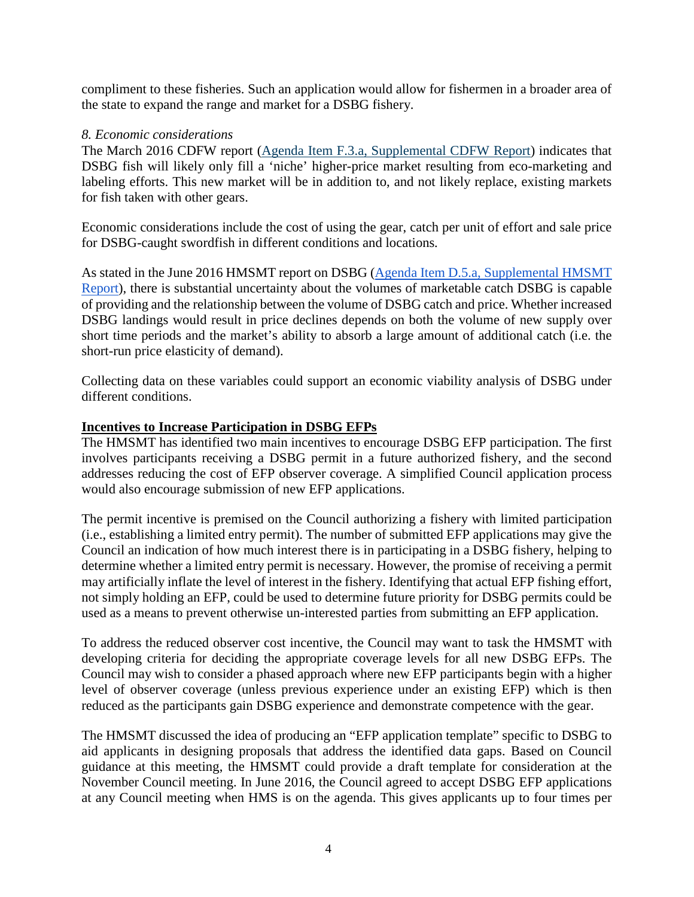compliment to these fisheries. Such an application would allow for fishermen in a broader area of the state to expand the range and market for a DSBG fishery.

#### *8. Economic considerations*

The March 2016 CDFW report [\(Agenda Item F.3.a, Supplemental CDFW Report\)](http://www.pcouncil.org/wp-content/uploads/2016/03/F3a_Sup_CDFW_Rpt_MAR2016BB.pdf) indicates that DSBG fish will likely only fill a 'niche' higher-price market resulting from eco-marketing and labeling efforts. This new market will be in addition to, and not likely replace, existing markets for fish taken with other gears.

Economic considerations include the cost of using the gear, catch per unit of effort and sale price for DSBG-caught swordfish in different conditions and locations*.*

As stated in the June 2016 HMSMT report on DSBG [\(Agenda Item D.5.a, Supplemental HMSMT](http://www.pcouncil.org/wp-content/uploads/2016/06/D5a_Sup_HMSMT_Rpt_DSBG_JUN2016BB.pdf)  [Report\)](http://www.pcouncil.org/wp-content/uploads/2016/06/D5a_Sup_HMSMT_Rpt_DSBG_JUN2016BB.pdf), there is substantial uncertainty about the volumes of marketable catch DSBG is capable of providing and the relationship between the volume of DSBG catch and price. Whether increased DSBG landings would result in price declines depends on both the volume of new supply over short time periods and the market's ability to absorb a large amount of additional catch (i.e. the short-run price elasticity of demand).

Collecting data on these variables could support an economic viability analysis of DSBG under different conditions.

#### **Incentives to Increase Participation in DSBG EFPs**

The HMSMT has identified two main incentives to encourage DSBG EFP participation. The first involves participants receiving a DSBG permit in a future authorized fishery, and the second addresses reducing the cost of EFP observer coverage. A simplified Council application process would also encourage submission of new EFP applications.

The permit incentive is premised on the Council authorizing a fishery with limited participation (i.e., establishing a limited entry permit). The number of submitted EFP applications may give the Council an indication of how much interest there is in participating in a DSBG fishery, helping to determine whether a limited entry permit is necessary. However, the promise of receiving a permit may artificially inflate the level of interest in the fishery. Identifying that actual EFP fishing effort, not simply holding an EFP, could be used to determine future priority for DSBG permits could be used as a means to prevent otherwise un-interested parties from submitting an EFP application.

To address the reduced observer cost incentive, the Council may want to task the HMSMT with developing criteria for deciding the appropriate coverage levels for all new DSBG EFPs. The Council may wish to consider a phased approach where new EFP participants begin with a higher level of observer coverage (unless previous experience under an existing EFP) which is then reduced as the participants gain DSBG experience and demonstrate competence with the gear.

The HMSMT discussed the idea of producing an "EFP application template" specific to DSBG to aid applicants in designing proposals that address the identified data gaps. Based on Council guidance at this meeting, the HMSMT could provide a draft template for consideration at the November Council meeting. In June 2016, the Council agreed to accept DSBG EFP applications at any Council meeting when HMS is on the agenda. This gives applicants up to four times per